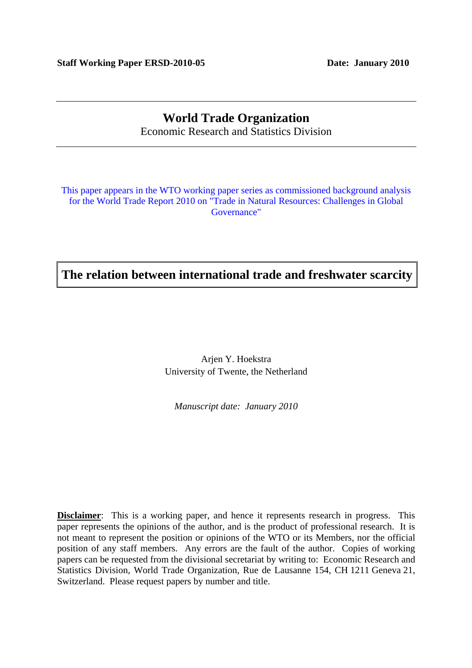# **World Trade Organization**

Economic Research and Statistics Division

This paper appears in the WTO working paper series as commissioned background analysis for the World Trade Report 2010 on "Trade in Natural Resources: Challenges in Global Governance"

## **The relation between international trade and freshwater scarcity**

Arjen Y. Hoekstra University of Twente, the Netherland

*Manuscript date: January 2010*

**Disclaimer**: This is a working paper, and hence it represents research in progress. This paper represents the opinions of the author, and is the product of professional research. It is not meant to represent the position or opinions of the WTO or its Members, nor the official position of any staff members. Any errors are the fault of the author. Copies of working papers can be requested from the divisional secretariat by writing to: Economic Research and Statistics Division, World Trade Organization, Rue de Lausanne 154, CH 1211 Geneva 21, Switzerland. Please request papers by number and title.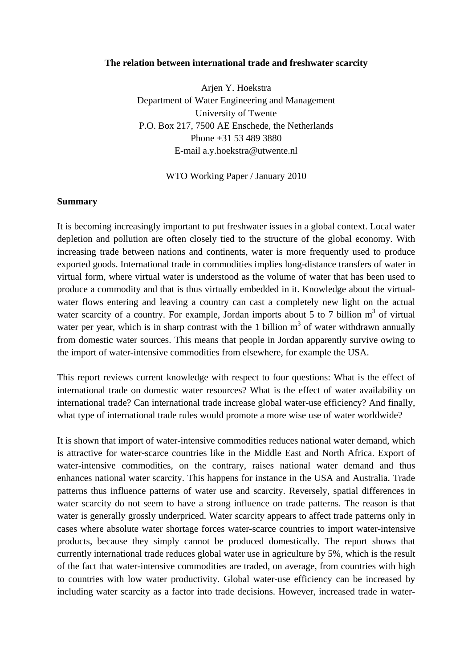#### **The relation between international trade and freshwater scarcity**

Arjen Y. Hoekstra Department of Water Engineering and Management University of Twente P.O. Box 217, 7500 AE Enschede, the Netherlands Phone +31 53 489 3880 E-mail a.y.hoekstra@utwente.nl

WTO Working Paper / January 2010

#### **Summary**

It is becoming increasingly important to put freshwater issues in a global context. Local water depletion and pollution are often closely tied to the structure of the global economy. With increasing trade between nations and continents, water is more frequently used to produce exported goods. International trade in commodities implies long-distance transfers of water in virtual form, where virtual water is understood as the volume of water that has been used to produce a commodity and that is thus virtually embedded in it. Knowledge about the virtualwater flows entering and leaving a country can cast a completely new light on the actual water scarcity of a country. For example, Jordan imports about 5 to 7 billion  $m<sup>3</sup>$  of virtual water per year, which is in sharp contrast with the 1 billion  $m<sup>3</sup>$  of water withdrawn annually from domestic water sources. This means that people in Jordan apparently survive owing to the import of water-intensive commodities from elsewhere, for example the USA.

This report reviews current knowledge with respect to four questions: What is the effect of international trade on domestic water resources? What is the effect of water availability on international trade? Can international trade increase global water-use efficiency? And finally, what type of international trade rules would promote a more wise use of water worldwide?

It is shown that import of water-intensive commodities reduces national water demand, which is attractive for water-scarce countries like in the Middle East and North Africa. Export of water-intensive commodities, on the contrary, raises national water demand and thus enhances national water scarcity. This happens for instance in the USA and Australia. Trade patterns thus influence patterns of water use and scarcity. Reversely, spatial differences in water scarcity do not seem to have a strong influence on trade patterns. The reason is that water is generally grossly underpriced. Water scarcity appears to affect trade patterns only in cases where absolute water shortage forces water-scarce countries to import water-intensive products, because they simply cannot be produced domestically. The report shows that currently international trade reduces global water use in agriculture by 5%, which is the result of the fact that water-intensive commodities are traded, on average, from countries with high to countries with low water productivity. Global water-use efficiency can be increased by including water scarcity as a factor into trade decisions. However, increased trade in water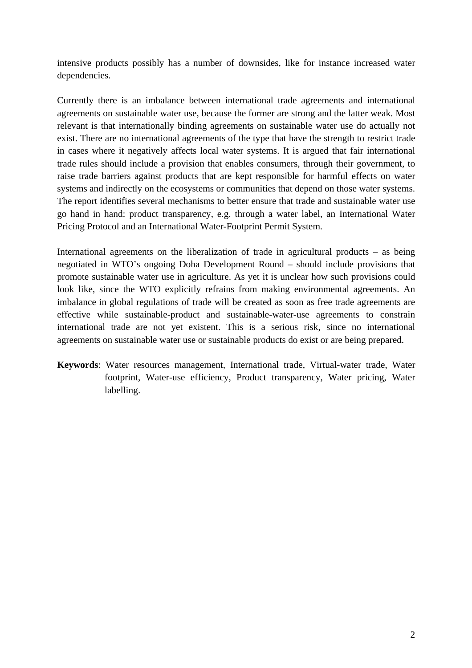intensive products possibly has a number of downsides, like for instance increased water dependencies.

Currently there is an imbalance between international trade agreements and international agreements on sustainable water use, because the former are strong and the latter weak. Most relevant is that internationally binding agreements on sustainable water use do actually not exist. There are no international agreements of the type that have the strength to restrict trade in cases where it negatively affects local water systems. It is argued that fair international trade rules should include a provision that enables consumers, through their government, to raise trade barriers against products that are kept responsible for harmful effects on water systems and indirectly on the ecosystems or communities that depend on those water systems. The report identifies several mechanisms to better ensure that trade and sustainable water use go hand in hand: product transparency, e.g. through a water label, an International Water Pricing Protocol and an International Water-Footprint Permit System.

International agreements on the liberalization of trade in agricultural products – as being negotiated in WTO's ongoing Doha Development Round – should include provisions that promote sustainable water use in agriculture. As yet it is unclear how such provisions could look like, since the WTO explicitly refrains from making environmental agreements. An imbalance in global regulations of trade will be created as soon as free trade agreements are effective while sustainable-product and sustainable-water-use agreements to constrain international trade are not yet existent. This is a serious risk, since no international agreements on sustainable water use or sustainable products do exist or are being prepared.

**Keywords**: Water resources management, International trade, Virtual-water trade, Water footprint, Water-use efficiency, Product transparency, Water pricing, Water labelling.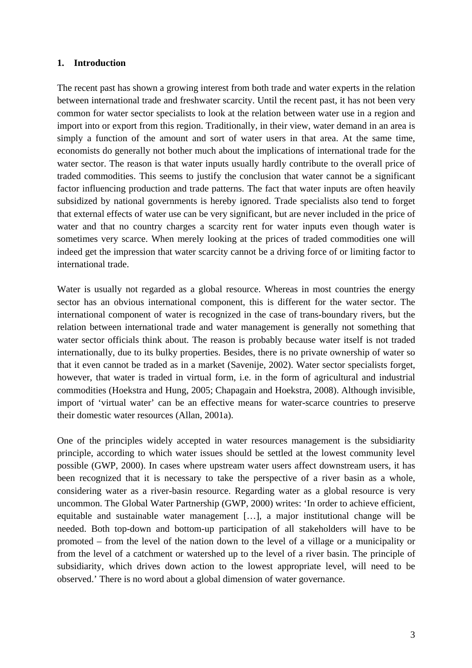#### **1. Introduction**

The recent past has shown a growing interest from both trade and water experts in the relation between international trade and freshwater scarcity. Until the recent past, it has not been very common for water sector specialists to look at the relation between water use in a region and import into or export from this region. Traditionally, in their view, water demand in an area is simply a function of the amount and sort of water users in that area. At the same time, economists do generally not bother much about the implications of international trade for the water sector. The reason is that water inputs usually hardly contribute to the overall price of traded commodities. This seems to justify the conclusion that water cannot be a significant factor influencing production and trade patterns. The fact that water inputs are often heavily subsidized by national governments is hereby ignored. Trade specialists also tend to forget that external effects of water use can be very significant, but are never included in the price of water and that no country charges a scarcity rent for water inputs even though water is sometimes very scarce. When merely looking at the prices of traded commodities one will indeed get the impression that water scarcity cannot be a driving force of or limiting factor to international trade.

Water is usually not regarded as a global resource. Whereas in most countries the energy sector has an obvious international component, this is different for the water sector. The international component of water is recognized in the case of trans-boundary rivers, but the relation between international trade and water management is generally not something that water sector officials think about. The reason is probably because water itself is not traded internationally, due to its bulky properties. Besides, there is no private ownership of water so that it even cannot be traded as in a market (Savenije, 2002). Water sector specialists forget, however, that water is traded in virtual form, i.e. in the form of agricultural and industrial commodities (Hoekstra and Hung, 2005; Chapagain and Hoekstra, 2008). Although invisible, import of 'virtual water' can be an effective means for water-scarce countries to preserve their domestic water resources (Allan, 2001a).

One of the principles widely accepted in water resources management is the subsidiarity principle, according to which water issues should be settled at the lowest community level possible (GWP, 2000). In cases where upstream water users affect downstream users, it has been recognized that it is necessary to take the perspective of a river basin as a whole, considering water as a river-basin resource. Regarding water as a global resource is very uncommon. The Global Water Partnership (GWP, 2000) writes: 'In order to achieve efficient, equitable and sustainable water management […], a major institutional change will be needed. Both top-down and bottom-up participation of all stakeholders will have to be promoted – from the level of the nation down to the level of a village or a municipality or from the level of a catchment or watershed up to the level of a river basin. The principle of subsidiarity, which drives down action to the lowest appropriate level, will need to be observed.' There is no word about a global dimension of water governance.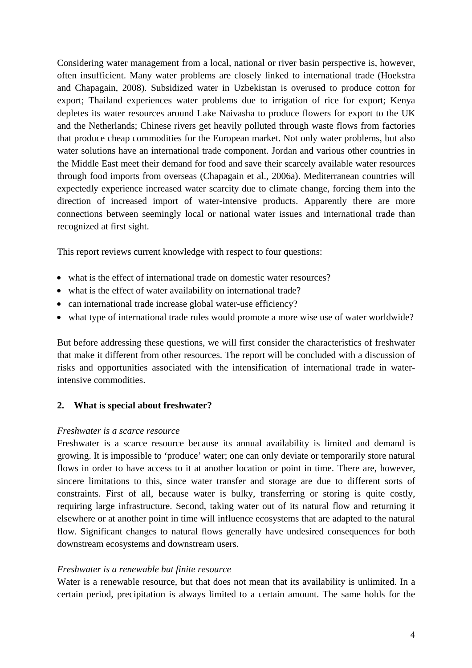Considering water management from a local, national or river basin perspective is, however, often insufficient. Many water problems are closely linked to international trade (Hoekstra and Chapagain, 2008). Subsidized water in Uzbekistan is overused to produce cotton for export; Thailand experiences water problems due to irrigation of rice for export; Kenya depletes its water resources around Lake Naivasha to produce flowers for export to the UK and the Netherlands; Chinese rivers get heavily polluted through waste flows from factories that produce cheap commodities for the European market. Not only water problems, but also water solutions have an international trade component. Jordan and various other countries in the Middle East meet their demand for food and save their scarcely available water resources through food imports from overseas (Chapagain et al., 2006a). Mediterranean countries will expectedly experience increased water scarcity due to climate change, forcing them into the direction of increased import of water-intensive products. Apparently there are more connections between seemingly local or national water issues and international trade than recognized at first sight.

This report reviews current knowledge with respect to four questions:

- what is the effect of international trade on domestic water resources?
- what is the effect of water availability on international trade?
- can international trade increase global water-use efficiency?
- what type of international trade rules would promote a more wise use of water worldwide?

But before addressing these questions, we will first consider the characteristics of freshwater that make it different from other resources. The report will be concluded with a discussion of risks and opportunities associated with the intensification of international trade in waterintensive commodities.

## **2. What is special about freshwater?**

## *Freshwater is a scarce resource*

Freshwater is a scarce resource because its annual availability is limited and demand is growing. It is impossible to 'produce' water; one can only deviate or temporarily store natural flows in order to have access to it at another location or point in time. There are, however, sincere limitations to this, since water transfer and storage are due to different sorts of constraints. First of all, because water is bulky, transferring or storing is quite costly, requiring large infrastructure. Second, taking water out of its natural flow and returning it elsewhere or at another point in time will influence ecosystems that are adapted to the natural flow. Significant changes to natural flows generally have undesired consequences for both downstream ecosystems and downstream users.

## *Freshwater is a renewable but finite resource*

Water is a renewable resource, but that does not mean that its availability is unlimited. In a certain period, precipitation is always limited to a certain amount. The same holds for the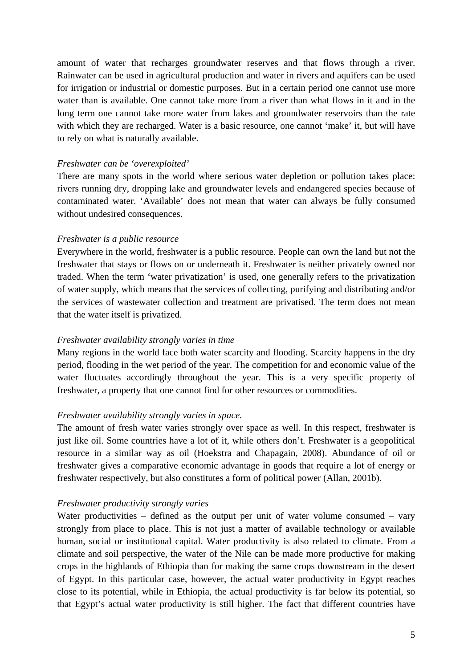amount of water that recharges groundwater reserves and that flows through a river. Rainwater can be used in agricultural production and water in rivers and aquifers can be used for irrigation or industrial or domestic purposes. But in a certain period one cannot use more water than is available. One cannot take more from a river than what flows in it and in the long term one cannot take more water from lakes and groundwater reservoirs than the rate with which they are recharged. Water is a basic resource, one cannot 'make' it, but will have to rely on what is naturally available.

#### *Freshwater can be 'overexploited'*

There are many spots in the world where serious water depletion or pollution takes place: rivers running dry, dropping lake and groundwater levels and endangered species because of contaminated water. 'Available' does not mean that water can always be fully consumed without undesired consequences.

#### *Freshwater is a public resource*

Everywhere in the world, freshwater is a public resource. People can own the land but not the freshwater that stays or flows on or underneath it. Freshwater is neither privately owned nor traded. When the term 'water privatization' is used, one generally refers to the privatization of water supply, which means that the services of collecting, purifying and distributing and/or the services of wastewater collection and treatment are privatised. The term does not mean that the water itself is privatized.

#### *Freshwater availability strongly varies in time*

Many regions in the world face both water scarcity and flooding. Scarcity happens in the dry period, flooding in the wet period of the year. The competition for and economic value of the water fluctuates accordingly throughout the year. This is a very specific property of freshwater, a property that one cannot find for other resources or commodities.

#### *Freshwater availability strongly varies in space.*

The amount of fresh water varies strongly over space as well. In this respect, freshwater is just like oil. Some countries have a lot of it, while others don't. Freshwater is a geopolitical resource in a similar way as oil (Hoekstra and Chapagain, 2008). Abundance of oil or freshwater gives a comparative economic advantage in goods that require a lot of energy or freshwater respectively, but also constitutes a form of political power (Allan, 2001b).

#### *Freshwater productivity strongly varies*

Water productivities – defined as the output per unit of water volume consumed – vary strongly from place to place. This is not just a matter of available technology or available human, social or institutional capital. Water productivity is also related to climate. From a climate and soil perspective, the water of the Nile can be made more productive for making crops in the highlands of Ethiopia than for making the same crops downstream in the desert of Egypt. In this particular case, however, the actual water productivity in Egypt reaches close to its potential, while in Ethiopia, the actual productivity is far below its potential, so that Egypt's actual water productivity is still higher. The fact that different countries have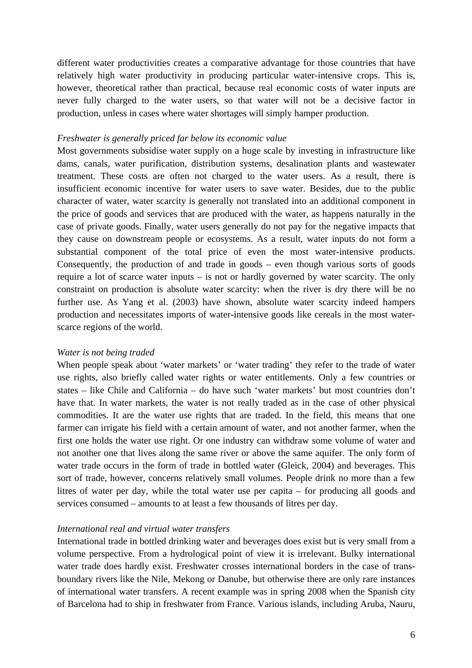different water productivities creates a comparative advantage for those countries that have relatively high water productivity in producing particular water-intensive crops. This is, however, theoretical rather than practical, because real economic costs of water inputs are never fully charged to the water users, so that water will not be a decisive factor in production, unless in cases where water shortages will simply hamper production.

#### *Freshwater is generally priced far below its economic value*

Most governments subsidise water supply on a huge scale by investing in infrastructure like dams, canals, water purification, distribution systems, desalination plants and wastewater treatment. These costs are often not charged to the water users. As a result, there is insufficient economic incentive for water users to save water. Besides, due to the public character of water, water scarcity is generally not translated into an additional component in the price of goods and services that are produced with the water, as happens naturally in the case of private goods. Finally, water users generally do not pay for the negative impacts that they cause on downstream people or ecosystems. As a result, water inputs do not form a substantial component of the total price of even the most water-intensive products. Consequently, the production of and trade in goods – even though various sorts of goods require a lot of scarce water inputs – is not or hardly governed by water scarcity. The only constraint on production is absolute water scarcity: when the river is dry there will be no further use. As Yang et al. (2003) have shown, absolute water scarcity indeed hampers production and necessitates imports of water-intensive goods like cereals in the most waterscarce regions of the world.

#### *Water is not being traded*

When people speak about 'water markets' or 'water trading' they refer to the trade of water use rights, also briefly called water rights or water entitlements. Only a few countries or states – like Chile and California – do have such 'water markets' but most countries don't have that. In water markets, the water is not really traded as in the case of other physical commodities. It are the water use rights that are traded. In the field, this means that one farmer can irrigate his field with a certain amount of water, and not another farmer, when the first one holds the water use right. Or one industry can withdraw some volume of water and not another one that lives along the same river or above the same aquifer. The only form of water trade occurs in the form of trade in bottled water (Gleick, 2004) and beverages. This sort of trade, however, concerns relatively small volumes. People drink no more than a few litres of water per day, while the total water use per capita – for producing all goods and services consumed – amounts to at least a few thousands of litres per day.

#### *International real and virtual water transfers*

International trade in bottled drinking water and beverages does exist but is very small from a volume perspective. From a hydrological point of view it is irrelevant. Bulky international water trade does hardly exist. Freshwater crosses international borders in the case of transboundary rivers like the Nile, Mekong or Danube, but otherwise there are only rare instances of international water transfers. A recent example was in spring 2008 when the Spanish city of Barcelona had to ship in freshwater from France. Various islands, including Aruba, Nauru,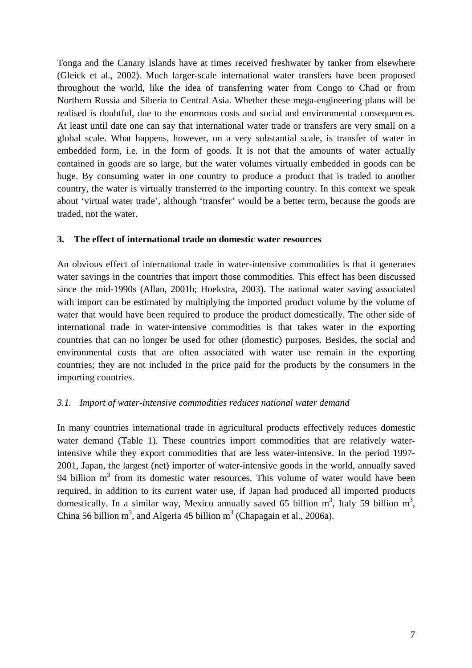Tonga and the Canary Islands have at times received freshwater by tanker from elsewhere (Gleick et al., 2002). Much larger-scale international water transfers have been proposed throughout the world, like the idea of transferring water from Congo to Chad or from Northern Russia and Siberia to Central Asia. Whether these mega-engineering plans will be realised is doubtful, due to the enormous costs and social and environmental consequences. At least until date one can say that international water trade or transfers are very small on a global scale. What happens, however, on a very substantial scale, is transfer of water in embedded form, i.e. in the form of goods. It is not that the amounts of water actually contained in goods are so large, but the water volumes virtually embedded in goods can be huge. By consuming water in one country to produce a product that is traded to another country, the water is virtually transferred to the importing country. In this context we speak about 'virtual water trade', although 'transfer' would be a better term, because the goods are traded, not the water.

### **3. The effect of international trade on domestic water resources**

An obvious effect of international trade in water-intensive commodities is that it generates water savings in the countries that import those commodities. This effect has been discussed since the mid-1990s (Allan, 2001b; Hoekstra, 2003). The national water saving associated with import can be estimated by multiplying the imported product volume by the volume of water that would have been required to produce the product domestically. The other side of international trade in water-intensive commodities is that takes water in the exporting countries that can no longer be used for other (domestic) purposes. Besides, the social and environmental costs that are often associated with water use remain in the exporting countries; they are not included in the price paid for the products by the consumers in the importing countries.

## *3.1. Import of water-intensive commodities reduces national water demand*

In many countries international trade in agricultural products effectively reduces domestic water demand (Table 1). These countries import commodities that are relatively waterintensive while they export commodities that are less water-intensive. In the period 1997- 2001, Japan, the largest (net) importer of water-intensive goods in the world, annually saved 94 billion  $m<sup>3</sup>$  from its domestic water resources. This volume of water would have been required, in addition to its current water use, if Japan had produced all imported products domestically. In a similar way, Mexico annually saved 65 billion  $m^3$ , Italy 59 billion  $m^3$ , China 56 billion  $m^3$ , and Algeria 45 billion  $m^3$  (Chapagain et al., 2006a).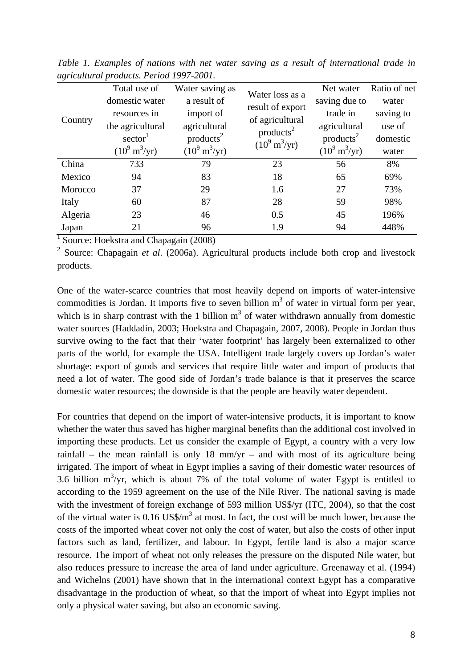| Country | Total use of                                                                                                | Water saving as                                                                                     | Water loss as a<br>result of export<br>of agricultural<br>products <sup>2</sup><br>$(10^9 \text{ m}^3/\text{yr})$ | Net water                                                                                            | Ratio of net                                      |
|---------|-------------------------------------------------------------------------------------------------------------|-----------------------------------------------------------------------------------------------------|-------------------------------------------------------------------------------------------------------------------|------------------------------------------------------------------------------------------------------|---------------------------------------------------|
|         | domestic water<br>resources in<br>the agricultural<br>sector <sup>1</sup><br>$(10^9 \text{ m}^3/\text{yr})$ | a result of<br>import of<br>agricultural<br>products <sup>2</sup><br>$(10^9 \text{ m}^3/\text{yr})$ |                                                                                                                   | saving due to<br>trade in<br>agricultural<br>products <sup>2</sup><br>$(10^9 \text{ m}^3/\text{yr})$ | water<br>saving to<br>use of<br>domestic<br>water |
| China   | 733                                                                                                         | 79                                                                                                  | 23                                                                                                                | 56                                                                                                   | 8%                                                |
| Mexico  | 94                                                                                                          | 83                                                                                                  | 18                                                                                                                | 65                                                                                                   | 69%                                               |
| Morocco | 37                                                                                                          | 29                                                                                                  | 1.6                                                                                                               | 27                                                                                                   | 73%                                               |
| Italy   | 60                                                                                                          | 87                                                                                                  | 28                                                                                                                | 59                                                                                                   | 98%                                               |
| Algeria | 23                                                                                                          | 46                                                                                                  | 0.5                                                                                                               | 45                                                                                                   | 196%                                              |
| Japan   | 21                                                                                                          | 96                                                                                                  | 1.9                                                                                                               | 94                                                                                                   | 448%                                              |

*Table 1. Examples of nations with net water saving as a result of international trade in agricultural products. Period 1997-2001.* 

<sup>1</sup> Source: Hoekstra and Chapagain (2008)

2 Source: Chapagain *et al*. (2006a). Agricultural products include both crop and livestock products.

One of the water-scarce countries that most heavily depend on imports of water-intensive commodities is Jordan. It imports five to seven billion  $m<sup>3</sup>$  of water in virtual form per year, which is in sharp contrast with the 1 billion  $m<sup>3</sup>$  of water withdrawn annually from domestic water sources (Haddadin, 2003; Hoekstra and Chapagain, 2007, 2008). People in Jordan thus survive owing to the fact that their 'water footprint' has largely been externalized to other parts of the world, for example the USA. Intelligent trade largely covers up Jordan's water shortage: export of goods and services that require little water and import of products that need a lot of water. The good side of Jordan's trade balance is that it preserves the scarce domestic water resources; the downside is that the people are heavily water dependent.

For countries that depend on the import of water-intensive products, it is important to know whether the water thus saved has higher marginal benefits than the additional cost involved in importing these products. Let us consider the example of Egypt, a country with a very low rainfall – the mean rainfall is only 18 mm/yr – and with most of its agriculture being irrigated. The import of wheat in Egypt implies a saving of their domestic water resources of 3.6 billion  $m^3$ /yr, which is about 7% of the total volume of water Egypt is entitled to according to the 1959 agreement on the use of the Nile River. The national saving is made with the investment of foreign exchange of 593 million US\$/yr (ITC, 2004), so that the cost of the virtual water is  $0.16$  US\$/ $m<sup>3</sup>$  at most. In fact, the cost will be much lower, because the costs of the imported wheat cover not only the cost of water, but also the costs of other input factors such as land, fertilizer, and labour. In Egypt, fertile land is also a major scarce resource. The import of wheat not only releases the pressure on the disputed Nile water, but also reduces pressure to increase the area of land under agriculture. Greenaway et al. (1994) and Wichelns (2001) have shown that in the international context Egypt has a comparative disadvantage in the production of wheat, so that the import of wheat into Egypt implies not only a physical water saving, but also an economic saving.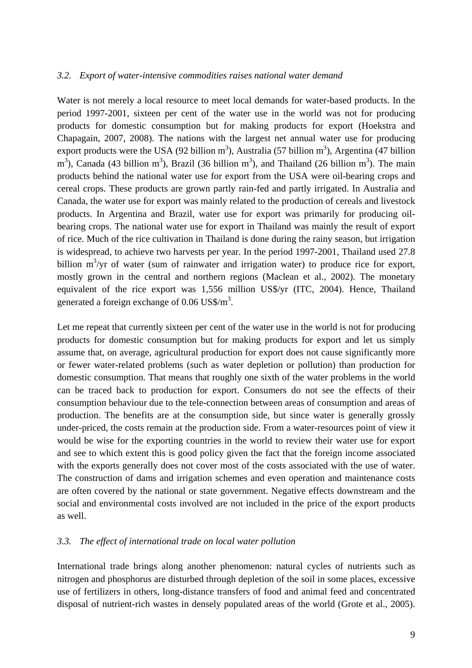#### *3.2. Export of water-intensive commodities raises national water demand*

Water is not merely a local resource to meet local demands for water-based products. In the period 1997-2001, sixteen per cent of the water use in the world was not for producing products for domestic consumption but for making products for export (Hoekstra and Chapagain, 2007, 2008). The nations with the largest net annual water use for producing export products were the USA (92 billion m<sup>3</sup>), Australia (57 billion m<sup>3</sup>), Argentina (47 billion  $m<sup>3</sup>$ ), Canada (43 billion m<sup>3</sup>), Brazil (36 billion m<sup>3</sup>), and Thailand (26 billion m<sup>3</sup>). The main products behind the national water use for export from the USA were oil-bearing crops and cereal crops. These products are grown partly rain-fed and partly irrigated. In Australia and Canada, the water use for export was mainly related to the production of cereals and livestock products. In Argentina and Brazil, water use for export was primarily for producing oilbearing crops. The national water use for export in Thailand was mainly the result of export of rice. Much of the rice cultivation in Thailand is done during the rainy season, but irrigation is widespread, to achieve two harvests per year. In the period 1997-2001, Thailand used 27.8 billion  $m^3$ /yr of water (sum of rainwater and irrigation water) to produce rice for export, mostly grown in the central and northern regions (Maclean et al., 2002). The monetary equivalent of the rice export was 1,556 million US\$/yr (ITC, 2004). Hence, Thailand generated a foreign exchange of 0.06 US\$/ $m<sup>3</sup>$ .

Let me repeat that currently sixteen per cent of the water use in the world is not for producing products for domestic consumption but for making products for export and let us simply assume that, on average, agricultural production for export does not cause significantly more or fewer water-related problems (such as water depletion or pollution) than production for domestic consumption. That means that roughly one sixth of the water problems in the world can be traced back to production for export. Consumers do not see the effects of their consumption behaviour due to the tele-connection between areas of consumption and areas of production. The benefits are at the consumption side, but since water is generally grossly under-priced, the costs remain at the production side. From a water-resources point of view it would be wise for the exporting countries in the world to review their water use for export and see to which extent this is good policy given the fact that the foreign income associated with the exports generally does not cover most of the costs associated with the use of water. The construction of dams and irrigation schemes and even operation and maintenance costs are often covered by the national or state government. Negative effects downstream and the social and environmental costs involved are not included in the price of the export products as well.

#### *3.3. The effect of international trade on local water pollution*

International trade brings along another phenomenon: natural cycles of nutrients such as nitrogen and phosphorus are disturbed through depletion of the soil in some places, excessive use of fertilizers in others, long-distance transfers of food and animal feed and concentrated disposal of nutrient-rich wastes in densely populated areas of the world (Grote et al., 2005).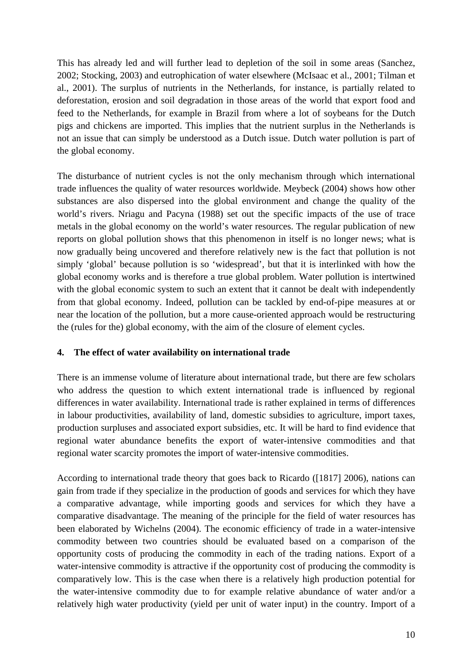This has already led and will further lead to depletion of the soil in some areas (Sanchez, 2002; Stocking, 2003) and eutrophication of water elsewhere (McIsaac et al., 2001; Tilman et al., 2001). The surplus of nutrients in the Netherlands, for instance, is partially related to deforestation, erosion and soil degradation in those areas of the world that export food and feed to the Netherlands, for example in Brazil from where a lot of soybeans for the Dutch pigs and chickens are imported. This implies that the nutrient surplus in the Netherlands is not an issue that can simply be understood as a Dutch issue. Dutch water pollution is part of the global economy.

The disturbance of nutrient cycles is not the only mechanism through which international trade influences the quality of water resources worldwide. Meybeck (2004) shows how other substances are also dispersed into the global environment and change the quality of the world's rivers. Nriagu and Pacyna (1988) set out the specific impacts of the use of trace metals in the global economy on the world's water resources. The regular publication of new reports on global pollution shows that this phenomenon in itself is no longer news; what is now gradually being uncovered and therefore relatively new is the fact that pollution is not simply 'global' because pollution is so 'widespread', but that it is interlinked with how the global economy works and is therefore a true global problem. Water pollution is intertwined with the global economic system to such an extent that it cannot be dealt with independently from that global economy. Indeed, pollution can be tackled by end-of-pipe measures at or near the location of the pollution, but a more cause-oriented approach would be restructuring the (rules for the) global economy, with the aim of the closure of element cycles.

## **4. The effect of water availability on international trade**

There is an immense volume of literature about international trade, but there are few scholars who address the question to which extent international trade is influenced by regional differences in water availability. International trade is rather explained in terms of differences in labour productivities, availability of land, domestic subsidies to agriculture, import taxes, production surpluses and associated export subsidies, etc. It will be hard to find evidence that regional water abundance benefits the export of water-intensive commodities and that regional water scarcity promotes the import of water-intensive commodities.

According to international trade theory that goes back to Ricardo ([1817] 2006), nations can gain from trade if they specialize in the production of goods and services for which they have a comparative advantage, while importing goods and services for which they have a comparative disadvantage. The meaning of the principle for the field of water resources has been elaborated by Wichelns (2004). The economic efficiency of trade in a water-intensive commodity between two countries should be evaluated based on a comparison of the opportunity costs of producing the commodity in each of the trading nations. Export of a water-intensive commodity is attractive if the opportunity cost of producing the commodity is comparatively low. This is the case when there is a relatively high production potential for the water-intensive commodity due to for example relative abundance of water and/or a relatively high water productivity (yield per unit of water input) in the country. Import of a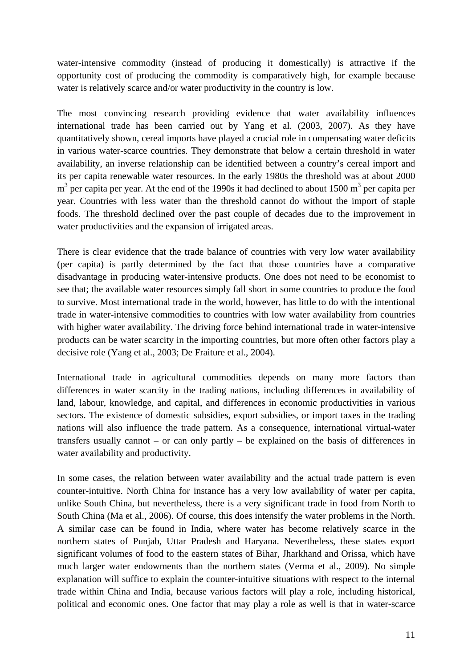water-intensive commodity (instead of producing it domestically) is attractive if the opportunity cost of producing the commodity is comparatively high, for example because water is relatively scarce and/or water productivity in the country is low.

The most convincing research providing evidence that water availability influences international trade has been carried out by Yang et al. (2003, 2007). As they have quantitatively shown, cereal imports have played a crucial role in compensating water deficits in various water-scarce countries. They demonstrate that below a certain threshold in water availability, an inverse relationship can be identified between a country's cereal import and its per capita renewable water resources. In the early 1980s the threshold was at about 2000  $m<sup>3</sup>$  per capita per year. At the end of the 1990s it had declined to about 1500  $m<sup>3</sup>$  per capita per year. Countries with less water than the threshold cannot do without the import of staple foods. The threshold declined over the past couple of decades due to the improvement in water productivities and the expansion of irrigated areas.

There is clear evidence that the trade balance of countries with very low water availability (per capita) is partly determined by the fact that those countries have a comparative disadvantage in producing water-intensive products. One does not need to be economist to see that; the available water resources simply fall short in some countries to produce the food to survive. Most international trade in the world, however, has little to do with the intentional trade in water-intensive commodities to countries with low water availability from countries with higher water availability. The driving force behind international trade in water-intensive products can be water scarcity in the importing countries, but more often other factors play a decisive role (Yang et al., 2003; De Fraiture et al., 2004).

International trade in agricultural commodities depends on many more factors than differences in water scarcity in the trading nations, including differences in availability of land, labour, knowledge, and capital, and differences in economic productivities in various sectors. The existence of domestic subsidies, export subsidies, or import taxes in the trading nations will also influence the trade pattern. As a consequence, international virtual-water transfers usually cannot – or can only partly – be explained on the basis of differences in water availability and productivity.

In some cases, the relation between water availability and the actual trade pattern is even counter-intuitive. North China for instance has a very low availability of water per capita, unlike South China, but nevertheless, there is a very significant trade in food from North to South China (Ma et al., 2006). Of course, this does intensify the water problems in the North. A similar case can be found in India, where water has become relatively scarce in the northern states of Punjab, Uttar Pradesh and Haryana. Nevertheless, these states export significant volumes of food to the eastern states of Bihar, Jharkhand and Orissa, which have much larger water endowments than the northern states (Verma et al., 2009). No simple explanation will suffice to explain the counter-intuitive situations with respect to the internal trade within China and India, because various factors will play a role, including historical, political and economic ones. One factor that may play a role as well is that in water-scarce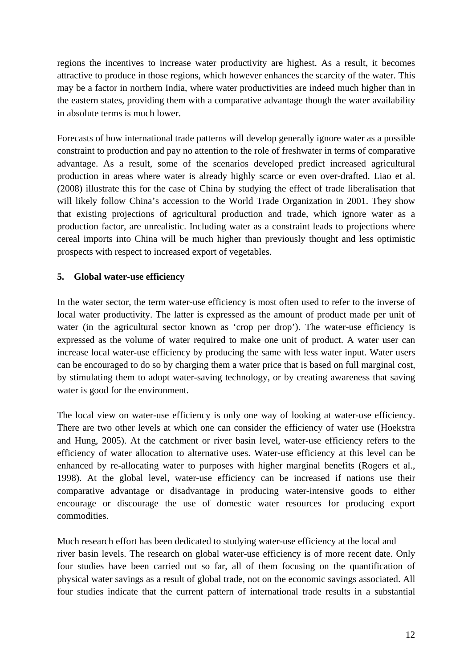regions the incentives to increase water productivity are highest. As a result, it becomes attractive to produce in those regions, which however enhances the scarcity of the water. This may be a factor in northern India, where water productivities are indeed much higher than in the eastern states, providing them with a comparative advantage though the water availability in absolute terms is much lower.

Forecasts of how international trade patterns will develop generally ignore water as a possible constraint to production and pay no attention to the role of freshwater in terms of comparative advantage. As a result, some of the scenarios developed predict increased agricultural production in areas where water is already highly scarce or even over-drafted. Liao et al. (2008) illustrate this for the case of China by studying the effect of trade liberalisation that will likely follow China's accession to the World Trade Organization in 2001. They show that existing projections of agricultural production and trade, which ignore water as a production factor, are unrealistic. Including water as a constraint leads to projections where cereal imports into China will be much higher than previously thought and less optimistic prospects with respect to increased export of vegetables.

## **5. Global water-use efficiency**

In the water sector, the term water-use efficiency is most often used to refer to the inverse of local water productivity. The latter is expressed as the amount of product made per unit of water (in the agricultural sector known as 'crop per drop'). The water-use efficiency is expressed as the volume of water required to make one unit of product. A water user can increase local water-use efficiency by producing the same with less water input. Water users can be encouraged to do so by charging them a water price that is based on full marginal cost, by stimulating them to adopt water-saving technology, or by creating awareness that saving water is good for the environment.

The local view on water-use efficiency is only one way of looking at water-use efficiency. There are two other levels at which one can consider the efficiency of water use (Hoekstra and Hung, 2005). At the catchment or river basin level, water-use efficiency refers to the efficiency of water allocation to alternative uses. Water-use efficiency at this level can be enhanced by re-allocating water to purposes with higher marginal benefits (Rogers et al., 1998). At the global level, water-use efficiency can be increased if nations use their comparative advantage or disadvantage in producing water-intensive goods to either encourage or discourage the use of domestic water resources for producing export commodities.

Much research effort has been dedicated to studying water-use efficiency at the local and river basin levels. The research on global water-use efficiency is of more recent date. Only four studies have been carried out so far, all of them focusing on the quantification of physical water savings as a result of global trade, not on the economic savings associated. All four studies indicate that the current pattern of international trade results in a substantial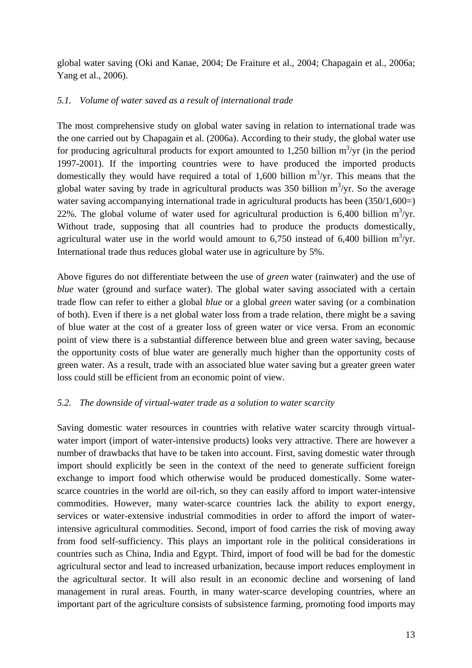global water saving (Oki and Kanae, 2004; De Fraiture et al., 2004; Chapagain et al., 2006a; Yang et al., 2006).

## *5.1. Volume of water saved as a result of international trade*

The most comprehensive study on global water saving in relation to international trade was the one carried out by Chapagain et al. (2006a). According to their study, the global water use for producing agricultural products for export amounted to 1,250 billion  $m^3$ /yr (in the period 1997-2001). If the importing countries were to have produced the imported products domestically they would have required a total of 1,600 billion  $m^3$ /yr. This means that the global water saving by trade in agricultural products was 350 billion  $m^3$ /yr. So the average water saving accompanying international trade in agricultural products has been  $(350/1,600=)$ 22%. The global volume of water used for agricultural production is 6,400 billion  $m^3$ /yr. Without trade, supposing that all countries had to produce the products domestically, agricultural water use in the world would amount to  $6,750$  instead of  $6,400$  billion m<sup>3</sup>/yr. International trade thus reduces global water use in agriculture by 5%.

Above figures do not differentiate between the use of *green* water (rainwater) and the use of *blue* water (ground and surface water). The global water saving associated with a certain trade flow can refer to either a global *blue* or a global *green* water saving (or a combination of both). Even if there is a net global water loss from a trade relation, there might be a saving of blue water at the cost of a greater loss of green water or vice versa. From an economic point of view there is a substantial difference between blue and green water saving, because the opportunity costs of blue water are generally much higher than the opportunity costs of green water. As a result, trade with an associated blue water saving but a greater green water loss could still be efficient from an economic point of view.

## *5.2. The downside of virtual-water trade as a solution to water scarcity*

Saving domestic water resources in countries with relative water scarcity through virtualwater import (import of water-intensive products) looks very attractive. There are however a number of drawbacks that have to be taken into account. First, saving domestic water through import should explicitly be seen in the context of the need to generate sufficient foreign exchange to import food which otherwise would be produced domestically. Some waterscarce countries in the world are oil-rich, so they can easily afford to import water-intensive commodities. However, many water-scarce countries lack the ability to export energy, services or water-extensive industrial commodities in order to afford the import of waterintensive agricultural commodities. Second, import of food carries the risk of moving away from food self-sufficiency. This plays an important role in the political considerations in countries such as China, India and Egypt. Third, import of food will be bad for the domestic agricultural sector and lead to increased urbanization, because import reduces employment in the agricultural sector. It will also result in an economic decline and worsening of land management in rural areas. Fourth, in many water-scarce developing countries, where an important part of the agriculture consists of subsistence farming, promoting food imports may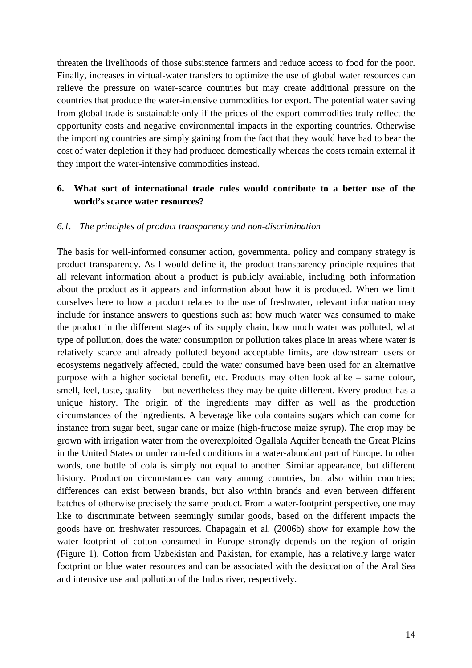threaten the livelihoods of those subsistence farmers and reduce access to food for the poor. Finally, increases in virtual-water transfers to optimize the use of global water resources can relieve the pressure on water-scarce countries but may create additional pressure on the countries that produce the water-intensive commodities for export. The potential water saving from global trade is sustainable only if the prices of the export commodities truly reflect the opportunity costs and negative environmental impacts in the exporting countries. Otherwise the importing countries are simply gaining from the fact that they would have had to bear the cost of water depletion if they had produced domestically whereas the costs remain external if they import the water-intensive commodities instead.

## **6. What sort of international trade rules would contribute to a better use of the world's scarce water resources?**

#### *6.1. The principles of product transparency and non-discrimination*

The basis for well-informed consumer action, governmental policy and company strategy is product transparency. As I would define it, the product-transparency principle requires that all relevant information about a product is publicly available, including both information about the product as it appears and information about how it is produced. When we limit ourselves here to how a product relates to the use of freshwater, relevant information may include for instance answers to questions such as: how much water was consumed to make the product in the different stages of its supply chain, how much water was polluted, what type of pollution, does the water consumption or pollution takes place in areas where water is relatively scarce and already polluted beyond acceptable limits, are downstream users or ecosystems negatively affected, could the water consumed have been used for an alternative purpose with a higher societal benefit, etc. Products may often look alike – same colour, smell, feel, taste, quality – but nevertheless they may be quite different. Every product has a unique history. The origin of the ingredients may differ as well as the production circumstances of the ingredients. A beverage like cola contains sugars which can come for instance from sugar beet, sugar cane or maize (high-fructose maize syrup). The crop may be grown with irrigation water from the overexploited Ogallala Aquifer beneath the Great Plains in the United States or under rain-fed conditions in a water-abundant part of Europe. In other words, one bottle of cola is simply not equal to another. Similar appearance, but different history. Production circumstances can vary among countries, but also within countries; differences can exist between brands, but also within brands and even between different batches of otherwise precisely the same product. From a water-footprint perspective, one may like to discriminate between seemingly similar goods, based on the different impacts the goods have on freshwater resources. Chapagain et al. (2006b) show for example how the water footprint of cotton consumed in Europe strongly depends on the region of origin (Figure 1). Cotton from Uzbekistan and Pakistan, for example, has a relatively large water footprint on blue water resources and can be associated with the desiccation of the Aral Sea and intensive use and pollution of the Indus river, respectively.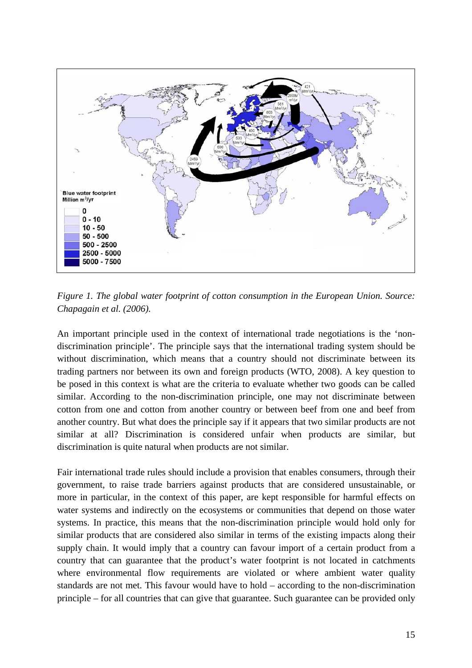

*Figure 1. The global water footprint of cotton consumption in the European Union. Source: Chapagain et al. (2006).* 

An important principle used in the context of international trade negotiations is the 'nondiscrimination principle'. The principle says that the international trading system should be without discrimination, which means that a country should not discriminate between its trading partners nor between its own and foreign products (WTO, 2008). A key question to be posed in this context is what are the criteria to evaluate whether two goods can be called similar. According to the non-discrimination principle, one may not discriminate between cotton from one and cotton from another country or between beef from one and beef from another country. But what does the principle say if it appears that two similar products are not similar at all? Discrimination is considered unfair when products are similar, but discrimination is quite natural when products are not similar.

Fair international trade rules should include a provision that enables consumers, through their government, to raise trade barriers against products that are considered unsustainable, or more in particular, in the context of this paper, are kept responsible for harmful effects on water systems and indirectly on the ecosystems or communities that depend on those water systems. In practice, this means that the non-discrimination principle would hold only for similar products that are considered also similar in terms of the existing impacts along their supply chain. It would imply that a country can favour import of a certain product from a country that can guarantee that the product's water footprint is not located in catchments where environmental flow requirements are violated or where ambient water quality standards are not met. This favour would have to hold – according to the non-discrimination principle – for all countries that can give that guarantee. Such guarantee can be provided only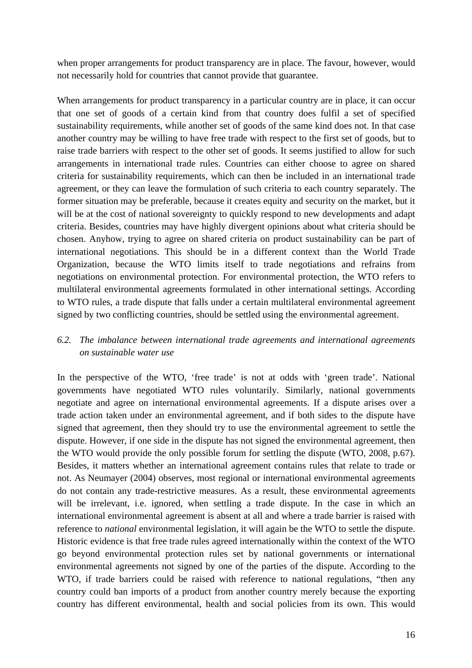when proper arrangements for product transparency are in place. The favour, however, would not necessarily hold for countries that cannot provide that guarantee.

When arrangements for product transparency in a particular country are in place, it can occur that one set of goods of a certain kind from that country does fulfil a set of specified sustainability requirements, while another set of goods of the same kind does not. In that case another country may be willing to have free trade with respect to the first set of goods, but to raise trade barriers with respect to the other set of goods. It seems justified to allow for such arrangements in international trade rules. Countries can either choose to agree on shared criteria for sustainability requirements, which can then be included in an international trade agreement, or they can leave the formulation of such criteria to each country separately. The former situation may be preferable, because it creates equity and security on the market, but it will be at the cost of national sovereignty to quickly respond to new developments and adapt criteria. Besides, countries may have highly divergent opinions about what criteria should be chosen. Anyhow, trying to agree on shared criteria on product sustainability can be part of international negotiations. This should be in a different context than the World Trade Organization, because the WTO limits itself to trade negotiations and refrains from negotiations on environmental protection. For environmental protection, the WTO refers to multilateral environmental agreements formulated in other international settings. According to WTO rules, a trade dispute that falls under a certain multilateral environmental agreement signed by two conflicting countries, should be settled using the environmental agreement.

## *6.2. The imbalance between international trade agreements and international agreements on sustainable water use*

In the perspective of the WTO, 'free trade' is not at odds with 'green trade'. National governments have negotiated WTO rules voluntarily. Similarly, national governments negotiate and agree on international environmental agreements. If a dispute arises over a trade action taken under an environmental agreement, and if both sides to the dispute have signed that agreement, then they should try to use the environmental agreement to settle the dispute. However, if one side in the dispute has not signed the environmental agreement, then the WTO would provide the only possible forum for settling the dispute (WTO, 2008, p.67). Besides, it matters whether an international agreement contains rules that relate to trade or not. As Neumayer (2004) observes, most regional or international environmental agreements do not contain any trade-restrictive measures. As a result, these environmental agreements will be irrelevant, i.e. ignored, when settling a trade dispute. In the case in which an international environmental agreement is absent at all and where a trade barrier is raised with reference to *national* environmental legislation, it will again be the WTO to settle the dispute. Historic evidence is that free trade rules agreed internationally within the context of the WTO go beyond environmental protection rules set by national governments or international environmental agreements not signed by one of the parties of the dispute. According to the WTO, if trade barriers could be raised with reference to national regulations, "then any country could ban imports of a product from another country merely because the exporting country has different environmental, health and social policies from its own. This would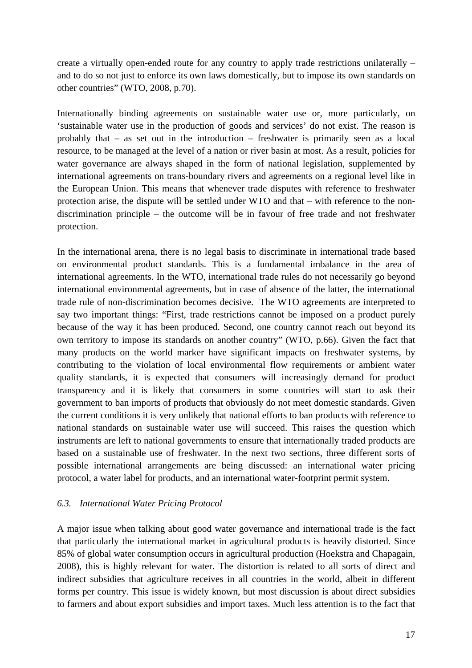create a virtually open-ended route for any country to apply trade restrictions unilaterally – and to do so not just to enforce its own laws domestically, but to impose its own standards on other countries" (WTO, 2008, p.70).

Internationally binding agreements on sustainable water use or, more particularly, on 'sustainable water use in the production of goods and services' do not exist. The reason is probably that – as set out in the introduction – freshwater is primarily seen as a local resource, to be managed at the level of a nation or river basin at most. As a result, policies for water governance are always shaped in the form of national legislation, supplemented by international agreements on trans-boundary rivers and agreements on a regional level like in the European Union. This means that whenever trade disputes with reference to freshwater protection arise, the dispute will be settled under WTO and that – with reference to the nondiscrimination principle – the outcome will be in favour of free trade and not freshwater protection.

In the international arena, there is no legal basis to discriminate in international trade based on environmental product standards. This is a fundamental imbalance in the area of international agreements. In the WTO, international trade rules do not necessarily go beyond international environmental agreements, but in case of absence of the latter, the international trade rule of non-discrimination becomes decisive. The WTO agreements are interpreted to say two important things: "First, trade restrictions cannot be imposed on a product purely because of the way it has been produced. Second, one country cannot reach out beyond its own territory to impose its standards on another country" (WTO, p.66). Given the fact that many products on the world marker have significant impacts on freshwater systems, by contributing to the violation of local environmental flow requirements or ambient water quality standards, it is expected that consumers will increasingly demand for product transparency and it is likely that consumers in some countries will start to ask their government to ban imports of products that obviously do not meet domestic standards. Given the current conditions it is very unlikely that national efforts to ban products with reference to national standards on sustainable water use will succeed. This raises the question which instruments are left to national governments to ensure that internationally traded products are based on a sustainable use of freshwater. In the next two sections, three different sorts of possible international arrangements are being discussed: an international water pricing protocol, a water label for products, and an international water-footprint permit system.

## *6.3. International Water Pricing Protocol*

A major issue when talking about good water governance and international trade is the fact that particularly the international market in agricultural products is heavily distorted. Since 85% of global water consumption occurs in agricultural production (Hoekstra and Chapagain, 2008), this is highly relevant for water. The distortion is related to all sorts of direct and indirect subsidies that agriculture receives in all countries in the world, albeit in different forms per country. This issue is widely known, but most discussion is about direct subsidies to farmers and about export subsidies and import taxes. Much less attention is to the fact that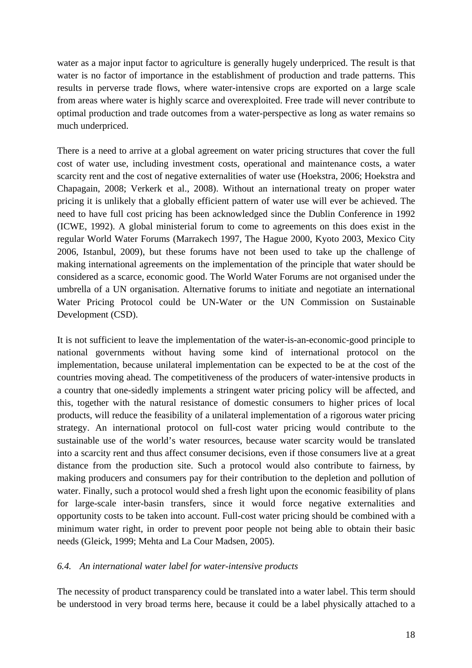water as a major input factor to agriculture is generally hugely underpriced. The result is that water is no factor of importance in the establishment of production and trade patterns. This results in perverse trade flows, where water-intensive crops are exported on a large scale from areas where water is highly scarce and overexploited. Free trade will never contribute to optimal production and trade outcomes from a water-perspective as long as water remains so much underpriced.

There is a need to arrive at a global agreement on water pricing structures that cover the full cost of water use, including investment costs, operational and maintenance costs, a water scarcity rent and the cost of negative externalities of water use (Hoekstra, 2006; Hoekstra and Chapagain, 2008; Verkerk et al., 2008). Without an international treaty on proper water pricing it is unlikely that a globally efficient pattern of water use will ever be achieved. The need to have full cost pricing has been acknowledged since the Dublin Conference in 1992 (ICWE, 1992). A global ministerial forum to come to agreements on this does exist in the regular World Water Forums (Marrakech 1997, The Hague 2000, Kyoto 2003, Mexico City 2006, Istanbul, 2009), but these forums have not been used to take up the challenge of making international agreements on the implementation of the principle that water should be considered as a scarce, economic good. The World Water Forums are not organised under the umbrella of a UN organisation. Alternative forums to initiate and negotiate an international Water Pricing Protocol could be UN-Water or the UN Commission on Sustainable Development (CSD).

It is not sufficient to leave the implementation of the water-is-an-economic-good principle to national governments without having some kind of international protocol on the implementation, because unilateral implementation can be expected to be at the cost of the countries moving ahead. The competitiveness of the producers of water-intensive products in a country that one-sidedly implements a stringent water pricing policy will be affected, and this, together with the natural resistance of domestic consumers to higher prices of local products, will reduce the feasibility of a unilateral implementation of a rigorous water pricing strategy. An international protocol on full-cost water pricing would contribute to the sustainable use of the world's water resources, because water scarcity would be translated into a scarcity rent and thus affect consumer decisions, even if those consumers live at a great distance from the production site. Such a protocol would also contribute to fairness, by making producers and consumers pay for their contribution to the depletion and pollution of water. Finally, such a protocol would shed a fresh light upon the economic feasibility of plans for large-scale inter-basin transfers, since it would force negative externalities and opportunity costs to be taken into account. Full-cost water pricing should be combined with a minimum water right, in order to prevent poor people not being able to obtain their basic needs (Gleick, 1999; Mehta and La Cour Madsen, 2005).

## *6.4. An international water label for water-intensive products*

The necessity of product transparency could be translated into a water label. This term should be understood in very broad terms here, because it could be a label physically attached to a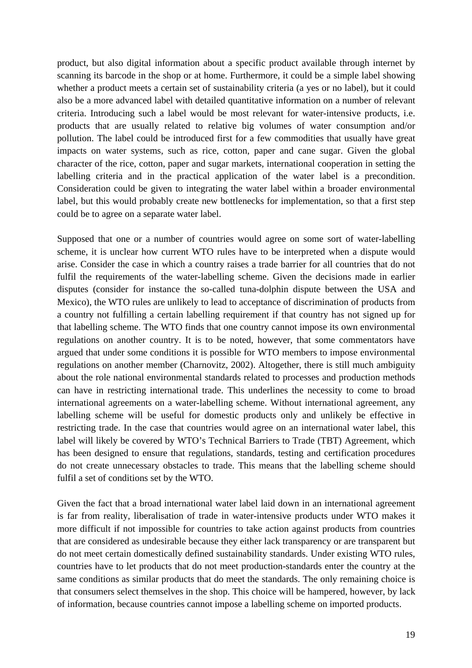product, but also digital information about a specific product available through internet by scanning its barcode in the shop or at home. Furthermore, it could be a simple label showing whether a product meets a certain set of sustainability criteria (a yes or no label), but it could also be a more advanced label with detailed quantitative information on a number of relevant criteria. Introducing such a label would be most relevant for water-intensive products, i.e. products that are usually related to relative big volumes of water consumption and/or pollution. The label could be introduced first for a few commodities that usually have great impacts on water systems, such as rice, cotton, paper and cane sugar. Given the global character of the rice, cotton, paper and sugar markets, international cooperation in setting the labelling criteria and in the practical application of the water label is a precondition. Consideration could be given to integrating the water label within a broader environmental label, but this would probably create new bottlenecks for implementation, so that a first step could be to agree on a separate water label.

Supposed that one or a number of countries would agree on some sort of water-labelling scheme, it is unclear how current WTO rules have to be interpreted when a dispute would arise. Consider the case in which a country raises a trade barrier for all countries that do not fulfil the requirements of the water-labelling scheme. Given the decisions made in earlier disputes (consider for instance the so-called tuna-dolphin dispute between the USA and Mexico), the WTO rules are unlikely to lead to acceptance of discrimination of products from a country not fulfilling a certain labelling requirement if that country has not signed up for that labelling scheme. The WTO finds that one country cannot impose its own environmental regulations on another country. It is to be noted, however, that some commentators have argued that under some conditions it is possible for WTO members to impose environmental regulations on another member (Charnovitz, 2002). Altogether, there is still much ambiguity about the role national environmental standards related to processes and production methods can have in restricting international trade. This underlines the necessity to come to broad international agreements on a water-labelling scheme. Without international agreement, any labelling scheme will be useful for domestic products only and unlikely be effective in restricting trade. In the case that countries would agree on an international water label, this label will likely be covered by WTO's Technical Barriers to Trade (TBT) Agreement, which has been designed to ensure that regulations, standards, testing and certification procedures do not create unnecessary obstacles to trade. This means that the labelling scheme should fulfil a set of conditions set by the WTO.

Given the fact that a broad international water label laid down in an international agreement is far from reality, liberalisation of trade in water-intensive products under WTO makes it more difficult if not impossible for countries to take action against products from countries that are considered as undesirable because they either lack transparency or are transparent but do not meet certain domestically defined sustainability standards. Under existing WTO rules, countries have to let products that do not meet production-standards enter the country at the same conditions as similar products that do meet the standards. The only remaining choice is that consumers select themselves in the shop. This choice will be hampered, however, by lack of information, because countries cannot impose a labelling scheme on imported products.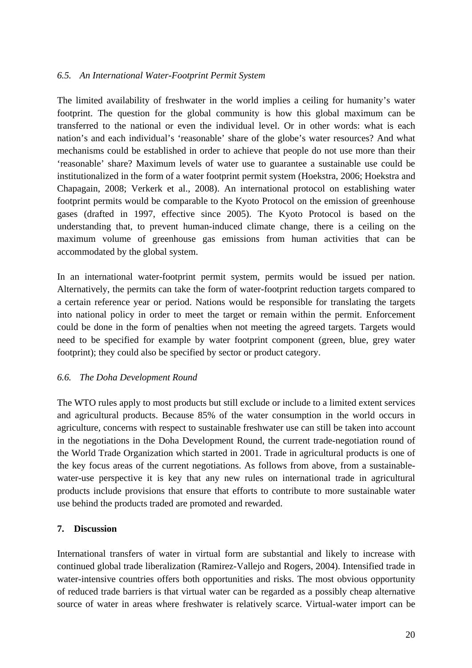## *6.5. An International Water-Footprint Permit System*

The limited availability of freshwater in the world implies a ceiling for humanity's water footprint. The question for the global community is how this global maximum can be transferred to the national or even the individual level. Or in other words: what is each nation's and each individual's 'reasonable' share of the globe's water resources? And what mechanisms could be established in order to achieve that people do not use more than their 'reasonable' share? Maximum levels of water use to guarantee a sustainable use could be institutionalized in the form of a water footprint permit system (Hoekstra, 2006; Hoekstra and Chapagain, 2008; Verkerk et al., 2008). An international protocol on establishing water footprint permits would be comparable to the Kyoto Protocol on the emission of greenhouse gases (drafted in 1997, effective since 2005). The Kyoto Protocol is based on the understanding that, to prevent human-induced climate change, there is a ceiling on the maximum volume of greenhouse gas emissions from human activities that can be accommodated by the global system.

In an international water-footprint permit system, permits would be issued per nation. Alternatively, the permits can take the form of water-footprint reduction targets compared to a certain reference year or period. Nations would be responsible for translating the targets into national policy in order to meet the target or remain within the permit. Enforcement could be done in the form of penalties when not meeting the agreed targets. Targets would need to be specified for example by water footprint component (green, blue, grey water footprint); they could also be specified by sector or product category.

## *6.6. The Doha Development Round*

The WTO rules apply to most products but still exclude or include to a limited extent services and agricultural products. Because 85% of the water consumption in the world occurs in agriculture, concerns with respect to sustainable freshwater use can still be taken into account in the negotiations in the Doha Development Round, the current trade-negotiation round of the World Trade Organization which started in 2001. Trade in agricultural products is one of the key focus areas of the current negotiations. As follows from above, from a sustainablewater-use perspective it is key that any new rules on international trade in agricultural products include provisions that ensure that efforts to contribute to more sustainable water use behind the products traded are promoted and rewarded.

## **7. Discussion**

International transfers of water in virtual form are substantial and likely to increase with continued global trade liberalization (Ramirez-Vallejo and Rogers, 2004). Intensified trade in water-intensive countries offers both opportunities and risks. The most obvious opportunity of reduced trade barriers is that virtual water can be regarded as a possibly cheap alternative source of water in areas where freshwater is relatively scarce. Virtual-water import can be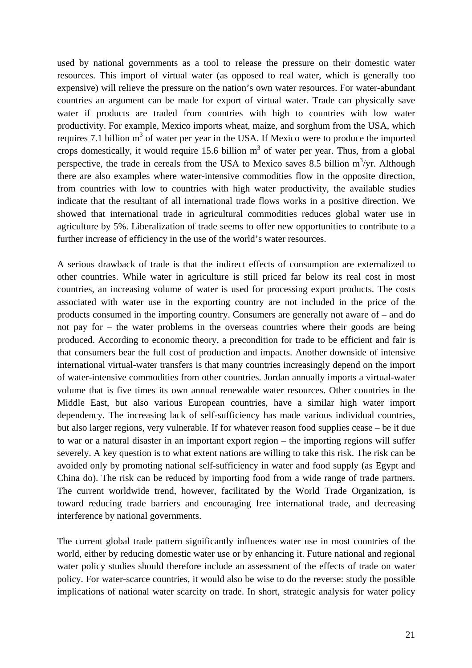used by national governments as a tool to release the pressure on their domestic water resources. This import of virtual water (as opposed to real water, which is generally too expensive) will relieve the pressure on the nation's own water resources. For water-abundant countries an argument can be made for export of virtual water. Trade can physically save water if products are traded from countries with high to countries with low water productivity. For example, Mexico imports wheat, maize, and sorghum from the USA, which requires 7.1 billion  $m<sup>3</sup>$  of water per year in the USA. If Mexico were to produce the imported crops domestically, it would require 15.6 billion  $m<sup>3</sup>$  of water per year. Thus, from a global perspective, the trade in cereals from the USA to Mexico saves 8.5 billion  $m^3$ /yr. Although there are also examples where water-intensive commodities flow in the opposite direction, from countries with low to countries with high water productivity, the available studies indicate that the resultant of all international trade flows works in a positive direction. We showed that international trade in agricultural commodities reduces global water use in agriculture by 5%. Liberalization of trade seems to offer new opportunities to contribute to a further increase of efficiency in the use of the world's water resources.

A serious drawback of trade is that the indirect effects of consumption are externalized to other countries. While water in agriculture is still priced far below its real cost in most countries, an increasing volume of water is used for processing export products. The costs associated with water use in the exporting country are not included in the price of the products consumed in the importing country. Consumers are generally not aware of – and do not pay for – the water problems in the overseas countries where their goods are being produced. According to economic theory, a precondition for trade to be efficient and fair is that consumers bear the full cost of production and impacts. Another downside of intensive international virtual-water transfers is that many countries increasingly depend on the import of water-intensive commodities from other countries. Jordan annually imports a virtual-water volume that is five times its own annual renewable water resources. Other countries in the Middle East, but also various European countries, have a similar high water import dependency. The increasing lack of self-sufficiency has made various individual countries, but also larger regions, very vulnerable. If for whatever reason food supplies cease – be it due to war or a natural disaster in an important export region – the importing regions will suffer severely. A key question is to what extent nations are willing to take this risk. The risk can be avoided only by promoting national self-sufficiency in water and food supply (as Egypt and China do). The risk can be reduced by importing food from a wide range of trade partners. The current worldwide trend, however, facilitated by the World Trade Organization, is toward reducing trade barriers and encouraging free international trade, and decreasing interference by national governments.

The current global trade pattern significantly influences water use in most countries of the world, either by reducing domestic water use or by enhancing it. Future national and regional water policy studies should therefore include an assessment of the effects of trade on water policy. For water-scarce countries, it would also be wise to do the reverse: study the possible implications of national water scarcity on trade. In short, strategic analysis for water policy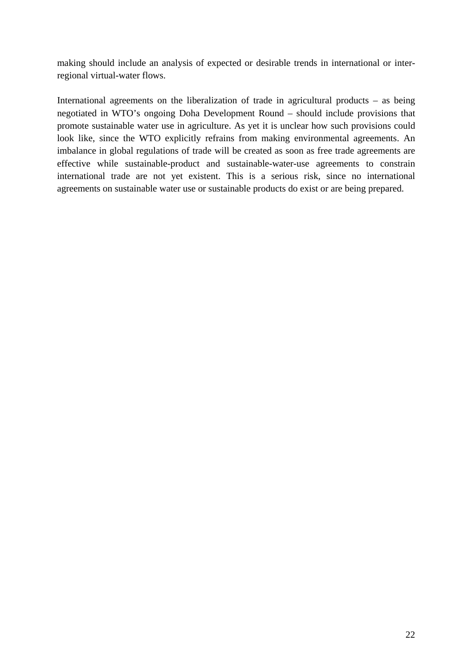making should include an analysis of expected or desirable trends in international or interregional virtual-water flows.

International agreements on the liberalization of trade in agricultural products – as being negotiated in WTO's ongoing Doha Development Round – should include provisions that promote sustainable water use in agriculture. As yet it is unclear how such provisions could look like, since the WTO explicitly refrains from making environmental agreements. An imbalance in global regulations of trade will be created as soon as free trade agreements are effective while sustainable-product and sustainable-water-use agreements to constrain international trade are not yet existent. This is a serious risk, since no international agreements on sustainable water use or sustainable products do exist or are being prepared.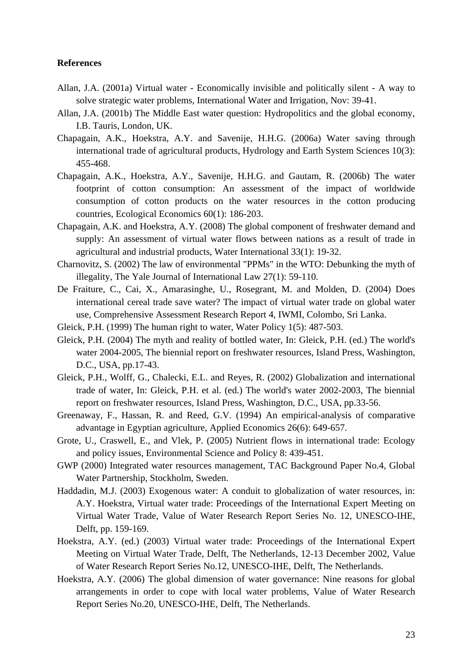#### **References**

- Allan, J.A. (2001a) Virtual water Economically invisible and politically silent A way to solve strategic water problems, International Water and Irrigation, Nov: 39-41.
- Allan, J.A. (2001b) The Middle East water question: Hydropolitics and the global economy, I.B. Tauris, London, UK.
- Chapagain, A.K., Hoekstra, A.Y. and Savenije, H.H.G. (2006a) Water saving through international trade of agricultural products, Hydrology and Earth System Sciences 10(3): 455-468.
- Chapagain, A.K., Hoekstra, A.Y., Savenije, H.H.G. and Gautam, R. (2006b) The water footprint of cotton consumption: An assessment of the impact of worldwide consumption of cotton products on the water resources in the cotton producing countries, Ecological Economics 60(1): 186-203.
- Chapagain, A.K. and Hoekstra, A.Y. (2008) The global component of freshwater demand and supply: An assessment of virtual water flows between nations as a result of trade in agricultural and industrial products, Water International 33(1): 19-32.
- Charnovitz, S. (2002) The law of environmental "PPMs" in the WTO: Debunking the myth of illegality, The Yale Journal of International Law 27(1): 59-110.
- De Fraiture, C., Cai, X., Amarasinghe, U., Rosegrant, M. and Molden, D. (2004) Does international cereal trade save water? The impact of virtual water trade on global water use, Comprehensive Assessment Research Report 4, IWMI, Colombo, Sri Lanka.
- Gleick, P.H. (1999) The human right to water, Water Policy 1(5): 487-503.
- Gleick, P.H. (2004) The myth and reality of bottled water, In: Gleick, P.H. (ed.) The world's water 2004-2005, The biennial report on freshwater resources, Island Press, Washington, D.C., USA, pp.17-43.
- Gleick, P.H., Wolff, G., Chalecki, E.L. and Reyes, R. (2002) Globalization and international trade of water, In: Gleick, P.H. et al. (ed.) The world's water 2002-2003, The biennial report on freshwater resources, Island Press, Washington, D.C., USA, pp.33-56.
- Greenaway, F., Hassan, R. and Reed, G.V. (1994) An empirical-analysis of comparative advantage in Egyptian agriculture, Applied Economics 26(6): 649-657.
- Grote, U., Craswell, E., and Vlek, P. (2005) Nutrient flows in international trade: Ecology and policy issues, Environmental Science and Policy 8: 439-451.
- GWP (2000) Integrated water resources management, TAC Background Paper No.4, Global Water Partnership, Stockholm, Sweden.
- Haddadin, M.J. (2003) Exogenous water: A conduit to globalization of water resources, in: A.Y. Hoekstra, Virtual water trade: Proceedings of the International Expert Meeting on Virtual Water Trade, Value of Water Research Report Series No. 12, UNESCO-IHE, Delft, pp. 159-169.
- Hoekstra, A.Y. (ed.) (2003) Virtual water trade: Proceedings of the International Expert Meeting on Virtual Water Trade, Delft, The Netherlands, 12-13 December 2002, Value of Water Research Report Series No.12, UNESCO-IHE, Delft, The Netherlands.
- Hoekstra, A.Y. (2006) The global dimension of water governance: Nine reasons for global arrangements in order to cope with local water problems, Value of Water Research Report Series No.20, UNESCO-IHE, Delft, The Netherlands.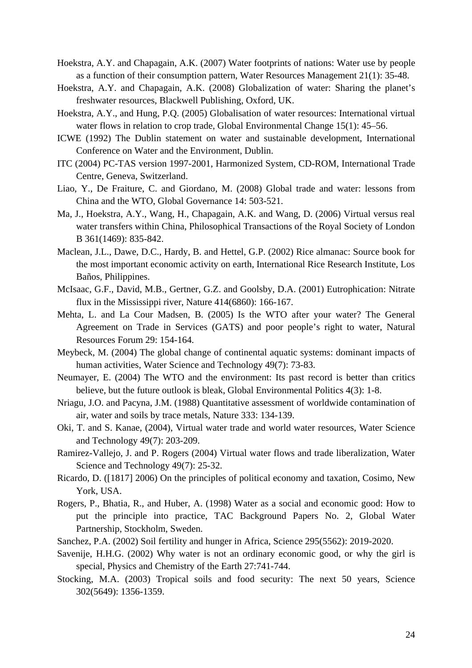- Hoekstra, A.Y. and Chapagain, A.K. (2007) Water footprints of nations: Water use by people as a function of their consumption pattern, Water Resources Management 21(1): 35-48.
- Hoekstra, A.Y. and Chapagain, A.K. (2008) Globalization of water: Sharing the planet's freshwater resources, Blackwell Publishing, Oxford, UK.
- Hoekstra, A.Y., and Hung, P.Q. (2005) Globalisation of water resources: International virtual water flows in relation to crop trade, Global Environmental Change 15(1): 45–56.
- ICWE (1992) The Dublin statement on water and sustainable development, International Conference on Water and the Environment, Dublin.
- ITC (2004) PC-TAS version 1997-2001, Harmonized System, CD-ROM, International Trade Centre, Geneva, Switzerland.
- Liao, Y., De Fraiture, C. and Giordano, M. (2008) Global trade and water: lessons from China and the WTO, Global Governance 14: 503-521.
- Ma, J., Hoekstra, A.Y., Wang, H., Chapagain, A.K. and Wang, D. (2006) Virtual versus real water transfers within China, Philosophical Transactions of the Royal Society of London B 361(1469): 835-842.
- Maclean, J.L., Dawe, D.C., Hardy, B. and Hettel, G.P. (2002) Rice almanac: Source book for the most important economic activity on earth, International Rice Research Institute, Los Baños, Philippines.
- McIsaac, G.F., David, M.B., Gertner, G.Z. and Goolsby, D.A. (2001) Eutrophication: Nitrate flux in the Mississippi river, Nature 414(6860): 166-167.
- Mehta, L. and La Cour Madsen, B. (2005) Is the WTO after your water? The General Agreement on Trade in Services (GATS) and poor people's right to water, Natural Resources Forum 29: 154-164.
- Meybeck, M. (2004) The global change of continental aquatic systems: dominant impacts of human activities, Water Science and Technology 49(7): 73-83.
- Neumayer, E. (2004) The WTO and the environment: Its past record is better than critics believe, but the future outlook is bleak, Global Environmental Politics 4(3): 1-8.
- Nriagu, J.O. and Pacyna, J.M. (1988) Quantitative assessment of worldwide contamination of air, water and soils by trace metals, Nature 333: 134-139.
- Oki, T. and S. Kanae, (2004), Virtual water trade and world water resources, Water Science and Technology 49(7): 203-209.
- Ramirez-Vallejo, J. and P. Rogers (2004) Virtual water flows and trade liberalization, Water Science and Technology 49(7): 25-32.
- Ricardo, D. ([1817] 2006) On the principles of political economy and taxation, Cosimo, New York, USA.
- Rogers, P., Bhatia, R., and Huber, A. (1998) Water as a social and economic good: How to put the principle into practice, TAC Background Papers No. 2, Global Water Partnership, Stockholm, Sweden.
- Sanchez, P.A. (2002) Soil fertility and hunger in Africa, Science 295(5562): 2019-2020.
- Savenije, H.H.G. (2002) Why water is not an ordinary economic good, or why the girl is special, Physics and Chemistry of the Earth 27:741-744.
- Stocking, M.A. (2003) Tropical soils and food security: The next 50 years, Science 302(5649): 1356-1359.